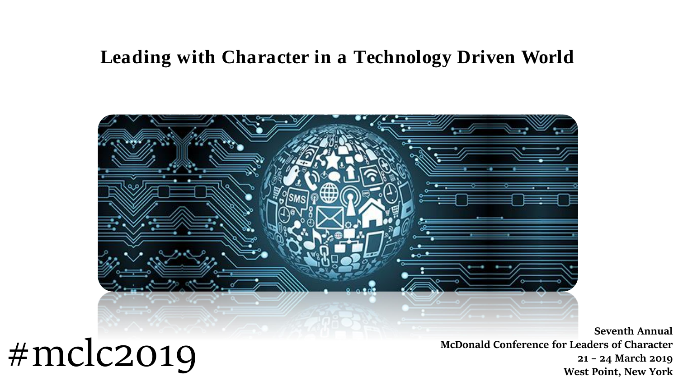## **Leading with Character in a Technology Driven World**



**Seventh Annual McDonald Conference for Leaders of Character 21 – 24 March 2019 West Point, New York**

## #mclc2019